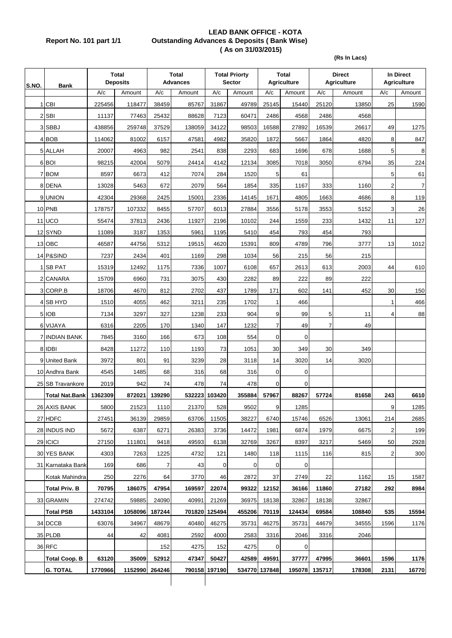## **LEAD BANK OFFICE - KOTA Report No. 101 part 1/1 Outstanding Advances & Deposits ( Bank Wise) ( As on 31/03/2015)**

**(Rs In Lacs)**

| S.NO. | <b>Bank</b>           | <b>Total</b><br><b>Deposits</b> |         | <b>Total</b><br><b>Advances</b> |        | <b>Total Priorty</b><br><b>Sector</b> |        | <b>Total</b><br><b>Agriculture</b> |             | <b>Direct</b><br><b>Agriculture</b> |        | In Direct<br><b>Agriculture</b> |                |
|-------|-----------------------|---------------------------------|---------|---------------------------------|--------|---------------------------------------|--------|------------------------------------|-------------|-------------------------------------|--------|---------------------------------|----------------|
|       |                       | A/c                             | Amount  | A/c                             | Amount | A/c                                   | Amount | A/c                                | Amount      | $\overline{A/c}$                    | Amount | A/c                             | Amount         |
| 1     | <b>CBI</b>            | 225456                          | 118477  | 38459                           | 85767  | 31867                                 | 49789  | 25145                              | 15440       | 25120                               | 13850  | 25                              | 1590           |
|       | $2$ SBI               | 11137                           | 77463   | 25432                           | 88628  | 7123                                  | 60471  | 2486                               | 4568        | 2486                                | 4568   |                                 |                |
|       | 3 SBBJ                | 438856                          | 259748  | 37529                           | 138059 | 34122                                 | 98503  | 16588                              | 27892       | 16539                               | 26617  | 49                              | 1275           |
|       | 4 BOB                 | 114062                          | 81002   | 6157                            | 47581  | 4982                                  | 35820  | 1872                               | 5667        | 1864                                | 4820   | 8                               | 847            |
|       | 5 ALLAH               | 20007                           | 4963    | 982                             | 2541   | 838                                   | 2293   | 683                                | 1696        | 678                                 | 1688   | 5                               | 8              |
|       | 6 BOI                 | 98215                           | 42004   | 5079                            | 24414  | 4142                                  | 12134  | 3085                               | 7018        | 3050                                | 6794   | 35                              | 224            |
|       | 7 BOM                 | 8597                            | 6673    | 412                             | 7074   | 284                                   | 1520   | 5                                  | 61          |                                     |        | 5                               | 61             |
|       | 8 DENA                | 13028                           | 5463    | 672                             | 2079   | 564                                   | 1854   | 335                                | 1167        | 333                                 | 1160   | $\overline{2}$                  | $\overline{7}$ |
|       | 9 UNION               | 42304                           | 29368   | 2425                            | 15001  | 2336                                  | 14145  | 1671                               | 4805        | 1663                                | 4686   | 8                               | 119            |
|       | 10 PNB                | 178757                          | 107332  | 8455                            | 57707  | 6013                                  | 27884  | 3556                               | 5178        | 3553                                | 5152   | 3                               | 26             |
|       | 11 UCO                | 55474                           | 37813   | 2436                            | 11927  | 2196                                  | 10102  | 244                                | 1559        | 233                                 | 1432   | 11                              | 127            |
|       | 12 SYND               | 11089                           | 3187    | 1353                            | 5961   | 1195                                  | 5410   | 454                                | 793         | 454                                 | 793    |                                 |                |
|       | 13 OBC                | 46587                           | 44756   | 5312                            | 19515  | 4620                                  | 15391  | 809                                | 4789        | 796                                 | 3777   | 13                              | 1012           |
|       | 14 P&SIND             | 7237                            | 2434    | 401                             | 1169   | 298                                   | 1034   | 56                                 | 215         | 56                                  | 215    |                                 |                |
|       | 1 SB PAT              | 15319                           | 12492   | 1175                            | 7336   | 1007                                  | 6108   | 657                                | 2613        | 613                                 | 2003   | 44                              | 610            |
|       | 2 CANARA              | 15709                           | 6960    | 731                             | 3075   | 430                                   | 2282   | 89                                 | 222         | 89                                  | 222    |                                 |                |
|       | 3 CORP.B              | 18706                           | 4670    | 812                             | 2702   | 437                                   | 1789   | 171                                | 602         | 141                                 | 452    | 30                              | 150            |
|       | 4 SB HYD              | 1510                            | 4055    | 462                             | 3211   | 235                                   | 1702   | $\mathbf{1}$                       | 466         |                                     |        | $\mathbf{1}$                    | 466            |
|       | 5 IOB                 | 7134                            | 3297    | 327                             | 1238   | 233                                   | 904    | 9                                  | 99          | 5                                   | 11     | $\overline{4}$                  | 88             |
|       | 6 VIJAYA              | 6316                            | 2205    | 170                             | 1340   | 147                                   | 1232   | $\overline{7}$                     | 49          | 7                                   | 49     |                                 |                |
|       | <b>7 INDIAN BANK</b>  | 7845                            | 3160    | 166                             | 673    | 108                                   | 554    | 0                                  | $\mathbf 0$ |                                     |        |                                 |                |
|       | 8 IDBI                | 8428                            | 11272   | 110                             | 1193   | 73                                    | 1051   | 30                                 | 349         | 30                                  | 349    |                                 |                |
|       | 9 United Bank         | 3972                            | 801     | 91                              | 3239   | 28                                    | 3118   | 14                                 | 3020        | 14                                  | 3020   |                                 |                |
|       | 10 Andhra Bank        | 4545                            | 1485    | 68                              | 316    | 68                                    | 316    | $\mathbf 0$                        | 0           |                                     |        |                                 |                |
|       | 25 SB Travankore      | 2019                            | 942     | 74                              | 478    | 74                                    | 478    | $\mathbf 0$                        | $\mathbf 0$ |                                     |        |                                 |                |
|       | <b>Total Nat.Bank</b> | 1362309                         | 872021  | 139290                          |        | 532223 103420                         | 355884 | 57967                              | 88267       | 57724                               | 81658  | 243                             | 6610           |
|       | 26 AXIS BANK          | 5800                            | 21523   | 1110                            | 21370  | 528                                   | 9502   | 9                                  | 1285        |                                     |        | 9                               | 1285           |
|       | 27 HDFC               | 27451                           | 36139   | 29859                           | 63706  | 11505                                 | 38227  | 6740                               | 15746       | 6526                                | 13061  | 214                             | 2685           |
|       | 28 INDUS IND          | 5672                            | 6387    | 6271                            | 26383  | 3736                                  | 14472  | 1981                               | 6874        | 1979                                | 6675   | $\overline{c}$                  | 199            |
|       | 29 ICICI              | 27150                           | 111801  | 9418                            | 49593  | 6138                                  | 32769  | 3267                               | 8397        | 3217                                | 5469   | 50                              | 2928           |
|       | 30 YES BANK           | 4303                            | 7263    | 1225                            | 4732   | 121                                   | 1480   | 118                                | 1115        | 116                                 | 815    | $\overline{\mathbf{c}}$         | 300            |
|       | 31 Karnataka Bank     | 169                             | 686     | 7                               | 43     | 0                                     | 0      | 0                                  | 0           |                                     |        |                                 |                |
|       | Kotak Mahindra        | 250                             | 2276    | 64                              | 3770   | 46                                    | 2872   | 37                                 | 2749        | 22                                  | 1162   | 15                              | 1587           |
|       | <b>Total Priv. B</b>  | 70795                           | 186075  | 47954                           | 169597 | 22074                                 | 99322  | 12152                              | 36166       | 11860                               | 27182  | 292                             | 8984           |
|       | 33 GRAMIN             | 274742                          | 59885   | 24090                           | 40991  | 21269                                 | 36975  | 18138                              | 32867       | 18138                               | 32867  |                                 |                |
|       | <b>Total PSB</b>      | 1433104                         | 1058096 | 187244                          |        | 701820 125494                         | 455206 | 70119                              | 124434      | 69584                               | 108840 | 535                             | 15594          |
|       | 34 DCCB               | 63076                           | 34967   | 48679                           | 40480  | 46275                                 | 35731  | 46275                              | 35731       | 44679                               | 34555  | 1596                            | 1176           |
|       | 35 PLDB               | 44                              | 42      | 4081                            | 2592   | 4000                                  | 2583   | 3316                               | 2046        | 3316                                | 2046   |                                 |                |
|       | 36 RFC                |                                 |         | 152                             | 4275   | 152                                   | 4275   | $\mathbf 0$                        | $\mathbf 0$ |                                     |        |                                 |                |
|       | <b>Total Coop. B</b>  | 63120                           | 35009   | 52912                           | 47347  | 50427                                 | 42589  | 49591                              | 37777       | 47995                               | 36601  | 1596                            | 1176           |
|       | <b>G. TOTAL</b>       | 1770966                         |         | 1152990 264246                  |        | 790158 197190                         |        | 534770 137848                      | 195078      | 135717                              | 178308 | 2131                            | 16770          |
|       |                       |                                 |         |                                 |        |                                       |        |                                    |             |                                     |        |                                 |                |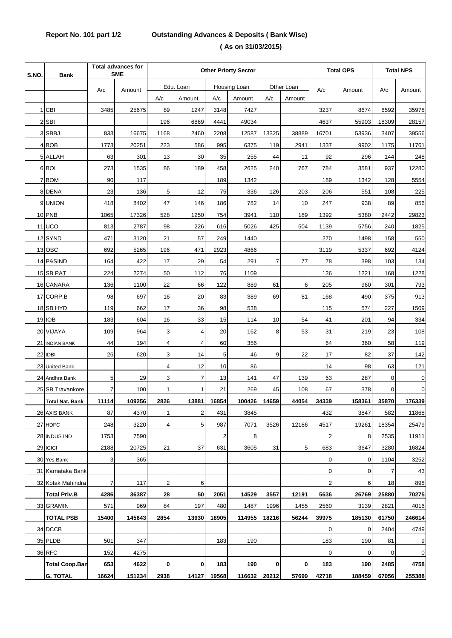## **Report No. 101 part 1/2 Outstanding Advances & Deposits ( Bank Wise) ( As on 31/03/2015)**

| S.NO. | <b>Bank</b>            | <b>Total advances for</b><br><b>SME</b> |        | <b>Other Priorty Sector</b> |                |       |              |       |            | <b>Total OPS</b>        |        | <b>Total NPS</b> |                |
|-------|------------------------|-----------------------------------------|--------|-----------------------------|----------------|-------|--------------|-------|------------|-------------------------|--------|------------------|----------------|
|       |                        | A/c                                     | Amount |                             | Edu. Loan      |       | Housing Loan |       | Other Loan | A/c<br>Amount           |        | A/c              | Amount         |
|       |                        |                                         |        | A/c                         | Amount         | A/c   | Amount       | A/c   | Amount     |                         |        |                  |                |
|       | 1 CBI                  | 3485                                    | 25675  | 89                          | 1247           | 3148  | 7427         |       |            | 3237                    | 8674   | 6592             | 35978          |
|       | 2 SBI                  |                                         |        | 196                         | 6869           | 4441  | 49034        |       |            | 4637                    | 55903  | 18309            | 28157          |
|       | 3 SBBJ                 | 833                                     | 16675  | 1168                        | 2460           | 2208  | 12587        | 13325 | 38889      | 16701                   | 53936  | 3407             | 39556          |
|       | 4 BOB                  | 1773                                    | 20251  | 223                         | 586            | 995   | 6375         | 119   | 2941       | 1337                    | 9902   | 1175             | 11761          |
|       | 5 ALLAH                | 63                                      | 301    | 13                          | 30             | 35    | 255          | 44    | 11         | 92                      | 296    | 144              | 248            |
|       | 6 BOI                  | 273                                     | 1535   | 86                          | 189            | 458   | 2625         | 240   | 767        | 784                     | 3581   | 937              | 12280          |
|       | 7 BOM                  | 90                                      | 117    |                             |                | 189   | 1342         |       |            | 189                     | 1342   | 128              | 5554           |
|       | 8 DENA                 | 23                                      | 136    | 5                           | 12             | 75    | 336          | 126   | 203        | 206                     | 551    | 108              | 225            |
|       | 9 UNION                | 418                                     | 8402   | 47                          | 146            | 186   | 782          | 14    | 10         | 247                     | 938    | 89               | 856            |
|       | 10 PNB                 | 1065                                    | 17326  | 528                         | 1250           | 754   | 3941         | 110   | 189        | 1392                    | 5380   | 2442             | 29823          |
|       | 11 UCO                 | 813                                     | 2787   | 98                          | 226            | 616   | 5026         | 425   | 504        | 1139                    | 5756   | 240              | 1825           |
|       | 12 SYND                | 471                                     | 3120   | 21                          | 57             | 249   | 1440         |       |            | 270                     | 1498   | 158              | 550            |
|       | 13 OBC                 | 692                                     | 5265   | 196                         | 471            | 2923  | 4866         |       |            | 3119                    | 5337   | 692              | 4124           |
|       | 14 P&SIND              | 164                                     | 422    | 17                          | 29             | 54    | 291          | 7     | 77         | 78                      | 398    | 103              | 134            |
|       | 15 SB PAT              | 224                                     | 2274   | 50                          | 112            | 76    | 1109         |       |            | 126                     | 1221   | 168              | 1228           |
|       | 16 CANARA              | 136                                     | 1100   | 22                          | 66             | 122   | 889          | 61    | 6          | 205                     | 960    | 301              | 793            |
|       | 17 CORP.B              | 98                                      | 697    | 16                          | 20             | 83    | 389          | 69    | 81         | 168                     | 490    | 375              | 913            |
|       | 18 SB HYD              | 119                                     | 662    | 17                          | 36             | 98    | 538          |       |            | 115                     | 574    | 227              | 1509           |
|       | 19 IOB                 | 183                                     | 604    | 16                          | 33             | 15    | 114          | 10    | 54         | 41                      | 201    | 94               | 334            |
|       | 20 VIJAYA              | 109                                     | 964    | 3                           | $\overline{4}$ | 20    | 162          | 8     | 53         | 31                      | 219    | 23               | 108            |
|       | 21 INDIAN BANK         | 44                                      | 194    | 4                           | $\overline{4}$ | 60    | 356          |       |            | 64                      | 360    | 58               | 119            |
|       | 22 IDBI                | 26                                      | 620    | 3                           | 14             | 5     | 46           | 9     | 22         | 17                      | 82     | 37               | 142            |
|       | 23 United Bank         |                                         |        | 4                           | 12             | 10    | 86           |       |            | 14                      | 98     | 63               | 121            |
|       | 24 Andhra Bank         | 5                                       | 29     | 3                           | $\overline{7}$ | 13    | 141          | 47    | 139        | 63                      | 287    | $\mathbf 0$      | $\overline{0}$ |
|       | 25 SB Travankore       | 7                                       | 100    | 1                           | 1              | 21    | 269          | 45    | 108        | 67                      | 378    | 0                | $\overline{0}$ |
|       | <b>Total Nat. Bank</b> | 11114                                   | 109256 | 2826                        | 13881          | 16854 | 100426       | 14659 | 44054      | 34339                   | 158361 | 35870            | 176339         |
|       | 26 AXIS BANK           | 87                                      | 4370   | 1                           | 2              | 431   | 3845         |       |            | 432                     | 3847   | 582              | 11868          |
|       | 27 HDFC                | 248                                     | 3220   | 4                           | 5              | 987   | 7071         | 3526  | 12186      | 4517                    | 19261  | 18354            | 25479          |
|       | 28 INDUS IND           | 1753                                    | 7590   |                             |                | 2     | 8            |       |            | 2                       | 8      | 2535             | 11911          |
|       | 29 ICICI               | 2188                                    | 20725  | 21                          | 37             | 631   | 3605         | 31    | 5          | 683                     | 3647   | 3280             | 16824          |
|       | 30 Yes Bank            | 3                                       | 365    |                             |                |       |              |       |            | $\mathbf 0$             | 0      | 1104             | 3252           |
|       | 31 Karnataka Bank      |                                         |        |                             |                |       |              |       |            | $\overline{0}$          | 0      | 7                | 43             |
|       | 32 Kotak Mahindra      | 7                                       | 117    | $\overline{\mathbf{c}}$     | 6              |       |              |       |            | $\overline{\mathbf{c}}$ | 6      | 18               | 898            |
|       | <b>Total Priv.B</b>    | 4286                                    | 36387  | 28                          | 50             | 2051  | 14529        | 3557  | 12191      | 5636                    | 26769  | 25880            | 70275          |
|       | 33 GRAMIN              | 571                                     | 969    | 84                          | 197            | 480   | 1487         | 1996  | 1455       | 2560                    | 3139   | 2821             | 4016           |
|       | <b>TOTAL PSB</b>       | 15400                                   | 145643 | 2854                        | 13930          | 18905 | 114955       | 18216 | 56244      | 39975                   | 185130 | 61750            | 246614         |
|       | 34 DCCB                |                                         |        |                             |                |       |              |       |            | $\mathbf 0$             | 0      | 2404             | 4749           |
|       | 35 PLDB                | 501                                     | 347    |                             |                | 183   | 190          |       |            | 183                     | 190    | 81               | 9              |
|       | 36 RFC                 | 152                                     | 4275   |                             |                |       |              |       |            | $\overline{0}$          | 0      | 0                | $\overline{0}$ |
|       | <b>Total Coop.Ban</b>  | 653                                     | 4622   | 0                           | $\mathbf{0}$   | 183   | 190          | 0     | 0          | 183                     | 190    | 2485             | 4758           |
|       | <b>G. TOTAL</b>        | 16624                                   | 151234 | 2938                        | 14127          | 19568 | 116632       | 20212 | 57699      | 42718                   | 188459 | 67056            | 255388         |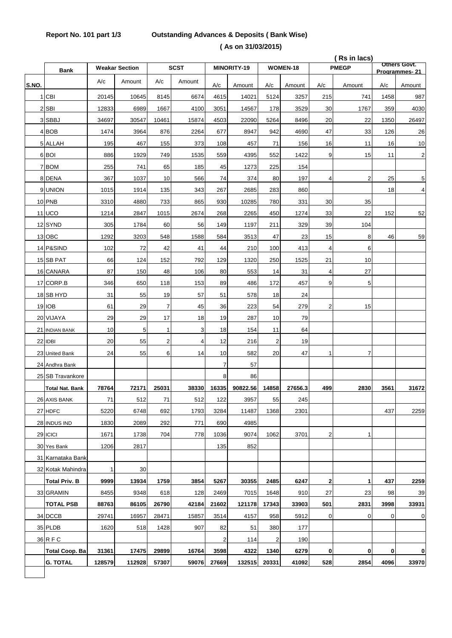## **Report No. 101 part 1/3 Outstanding Advances & Deposits ( Bank Wise) ( As on 31/03/2015)**

|       |                        |              |                       |                |                |                |             |                |          |                | (Rs in lacs) | <b>Others Govt.</b> |                         |
|-------|------------------------|--------------|-----------------------|----------------|----------------|----------------|-------------|----------------|----------|----------------|--------------|---------------------|-------------------------|
|       | <b>Bank</b>            |              | <b>Weakar Section</b> |                | <b>SCST</b>    |                | MINORITY-19 |                | WOMEN-18 |                | <b>PMEGP</b> |                     | Programmes-21           |
| S.NO. |                        | A/c          | Amount                | A/c            | Amount         | A/c            | Amount      | A/c            | Amount   | A/c            | Amount       | A/c                 | Amount                  |
|       | 1 CBI                  | 20145        | 10645                 | 8145           | 6674           | 4615           | 14021       | 5124           | 3257     | 215            | 741          | 1458                | 987                     |
|       | 2 SBI                  | 12833        | 6989                  | 1667           | 4100           | 3051           | 14567       | 178            | 3529     | 30             | 1767         | 359                 | 4030                    |
|       | 3 SBBJ                 | 34697        | 30547                 | 10461          | 15874          | 4503           | 22090       | 5264           | 8496     | 20             | 22           | 1350                | 26497                   |
|       | 4 BOB                  | 1474         | 3964                  | 876            | 2264           | 677            | 8947        | 942            | 4690     | 47             | 33           | 126                 | 26                      |
|       | 5 ALLAH                | 195          | 467                   | 155            | 373            | 108            | 457         | 71             | 156      | 16             | 11           | 16                  | 10                      |
|       | 6 BOI                  | 886          | 1929                  | 749            | 1535           | 559            | 4395        | 552            | 1422     | 9              | 15           | 11                  | $\overline{\mathbf{c}}$ |
|       | 7 BOM                  | 255          | 741                   | 65             | 185            | 45             | 1273        | 225            | 154      |                |              |                     |                         |
|       | 8 DENA                 | 367          | 1037                  | 10             | 566            | 74             | 374         | 80             | 197      | 4              | 2            | 25                  | 5                       |
|       | 9 UNION                | 1015         | 1914                  | 135            | 343            | 267            | 2685        | 283            | 860      |                |              | 18                  | 4                       |
|       | 10 PNB                 | 3310         | 4880                  | 733            | 865            | 930            | 10285       | 780            | 331      | 30             | 35           |                     |                         |
|       | <b>11 UCO</b>          | 1214         | 2847                  | 1015           | 2674           | 268            | 2265        | 450            | 1274     | 33             | 22           | 152                 | 52                      |
|       | 12 SYND                | 305          | 1784                  | 60             | 56             | 149            | 1197        | 211            | 329      | 39             | 104          |                     |                         |
|       | 13 OBC                 | 1292         | 3203                  | 548            | 1588           | 584            | 3513        | 47             | 23       | 15             | 8            | 46                  | 59                      |
|       | 14 P&SIND              | 102          | 72                    | 42             | 41             | 44             | 210         | 100            | 413      | $\overline{4}$ | 6            |                     |                         |
|       | 15 SB PAT              | 66           | 124                   | 152            | 792            | 129            | 1320        | 250            | 1525     | 21             | 10           |                     |                         |
|       | 16 CANARA              | 87           | 150                   | 48             | 106            | 80             | 553         | 14             | 31       | $\overline{4}$ | 27           |                     |                         |
|       | 17 CORP.B              | 346          | 650                   | 118            | 153            | 89             | 486         | 172            | 457      | 9              | 5            |                     |                         |
|       | 18 SB HYD              | 31           | 55                    | 19             | 57             | 51             | 578         | 18             | 24       |                |              |                     |                         |
|       | 19 IOB                 | 61           | 29                    | $\overline{7}$ | 45             | 36             | 223         | 54             | 279      | $\overline{2}$ | 15           |                     |                         |
|       | 20 VIJAYA              | 29           | 29                    | 17             | 18             | 19             | 287         | 10             | 79       |                |              |                     |                         |
|       | 21 INDIAN BANK         | 10           | 5                     | 1              | 3              | 18             | 154         | 11             | 64       |                |              |                     |                         |
|       | 22 IDBI                | 20           | 55                    | 2              | $\overline{4}$ | 12             | 216         | $\overline{2}$ | 19       |                |              |                     |                         |
|       | 23 United Bank         | 24           | 55                    | 6              | 14             | 10             | 582         | 20             | 47       | 1              | 7            |                     |                         |
|       | 24 Andhra Bank         |              |                       |                |                | $\overline{7}$ | 57          |                |          |                |              |                     |                         |
|       | 25 SB Travankore       |              |                       |                |                | 8              | 86          |                |          |                |              |                     |                         |
|       | <b>Total Nat. Bank</b> | 78764        | 72171                 | 25031          | 38330          | 16335          | 90822.56    | 14858          | 27656.3  | 499            | 2830         | 3561                | 31672                   |
|       | 26 AXIS BANK           | $71$         | 512                   | 71             | 512            | 122            | 3957        | 55             | 245      |                |              |                     |                         |
|       | 27 HDFC                | 5220         | 6748                  | 692            | 1793           | 3284           | 11487       | 1368           | 2301     |                |              | 437                 | 2259                    |
|       | 28 INDUS IND           | 1830         | 2089                  | 292            | 771            | 690            | 4985        |                |          |                |              |                     |                         |
|       | 29 ICICI               | 1671         | 1738                  | 704            | 778            | 1036           | 9074        | 1062           | 3701     | $\overline{c}$ | 1            |                     |                         |
|       | 30 Yes Bank            | 1206         | 2817                  |                |                | 135            | 852         |                |          |                |              |                     |                         |
|       | 31 Karnataka Bank      |              |                       |                |                |                |             |                |          |                |              |                     |                         |
|       | 32 Kotak Mahindra      | $\mathbf{1}$ | 30                    |                |                |                |             |                |          |                |              |                     |                         |
|       | <b>Total Priv. B</b>   | 9999         | 13934                 | 1759           | 3854           | 5267           | 30355       | 2485           | 6247     | $\mathbf{2}$   | 1            | 437                 | 2259                    |
|       | 33 GRAMIN              | 8455         | 9348                  | 618            | 128            | 2469           | 7015        | 1648           | 910      | 27             | 23           | 98                  | 39                      |
|       | <b>TOTAL PSB</b>       | 88763        | 86105                 | 26790          | 42184          | 21602          | 121178      | 17343          | 33903    | 501            | 2831         | 3998                | 33931                   |
|       | 34 DCCB                | 29741        | 16957                 | 28471          | 15857          | 3514           | 4157        | 958            | 5912     | $\mathbf 0$    | 0            | 0                   | 0                       |
|       | 35 PLDB                | 1620         | 518                   | 1428           | 907            | 82             | 51          | 380            | 177      |                |              |                     |                         |
|       | 36 R F C               |              |                       |                |                | $\overline{2}$ | 114         | 2              | 190      |                |              |                     |                         |
|       | <b>Total Coop. Ba</b>  | 31361        | 17475                 | 29899          | 16764          | 3598           | 4322        | 1340           | 6279     | $\mathbf{0}$   | 0            | 0                   | 0                       |
|       | <b>G. TOTAL</b>        | 128579       | 112928                | 57307          | 59076          | 27669          | 132515      | 20331          | 41092    | 528            | 2854         | 4096                | 33970                   |